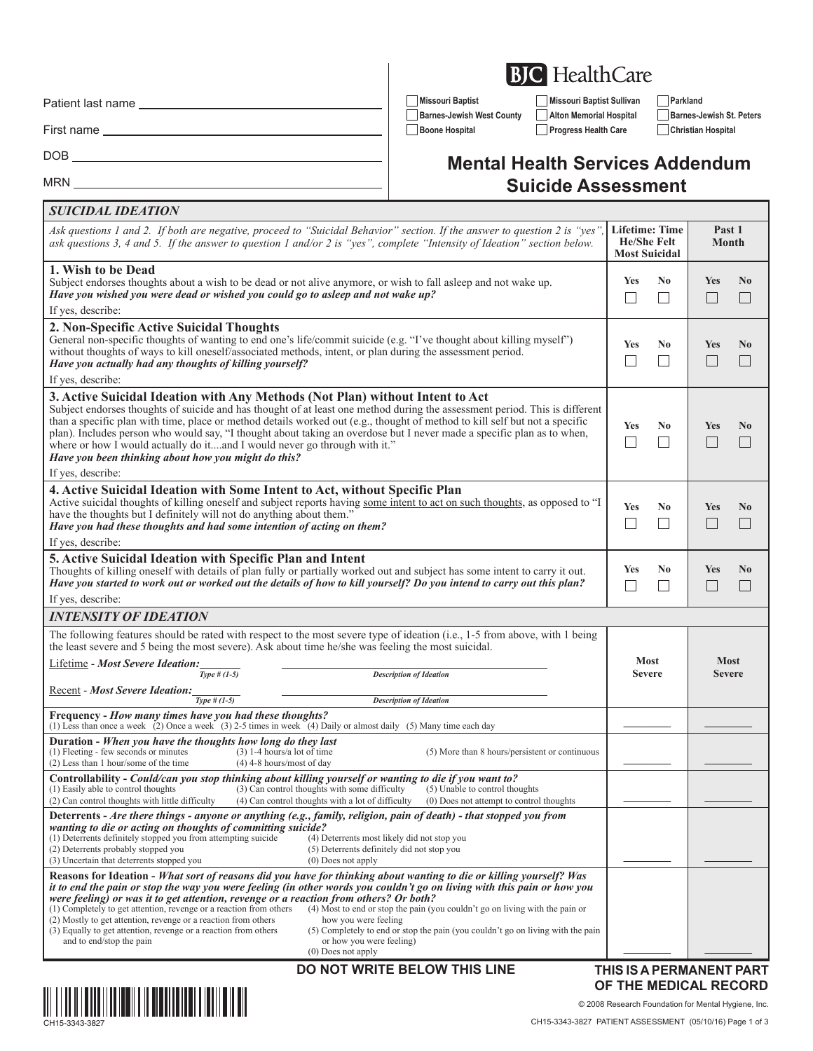Patient last name

*SUICIDAL IDEATION*

First name

DOB

MRN<sub>-</sub>

**Missouri Baptist Missouri Baptist Sullivan Parkland Barnes-Jewish West County Alton Memorial Hospital Barnes-Jewish St. Peters Boone Hospital Progress Health Care Christian Hospital**

## **Mental Health Services Addendum Suicide Assessment**

| Ask questions 1 and 2. If both are negative, proceed to "Suicidal Behavior" section. If the answer to question 2 is "yes"<br>ask questions 3, 4 and 5. If the answer to question 1 and/or 2 is "yes", complete "Intensity of Ideation" section below.                                                                                                                                                                                                                                                                                                                                                                                                                                                                                                                                                                                                         | <b>Lifetime: Time</b><br><b>He/She Felt</b><br><b>Most Suicidal</b> |                                            | Past 1<br>Month                        |                          |
|---------------------------------------------------------------------------------------------------------------------------------------------------------------------------------------------------------------------------------------------------------------------------------------------------------------------------------------------------------------------------------------------------------------------------------------------------------------------------------------------------------------------------------------------------------------------------------------------------------------------------------------------------------------------------------------------------------------------------------------------------------------------------------------------------------------------------------------------------------------|---------------------------------------------------------------------|--------------------------------------------|----------------------------------------|--------------------------|
| 1. Wish to be Dead<br>Subject endorses thoughts about a wish to be dead or not alive anymore, or wish to fall asleep and not wake up.<br>Have you wished you were dead or wished you could go to asleep and not wake up?                                                                                                                                                                                                                                                                                                                                                                                                                                                                                                                                                                                                                                      | Yes<br>$\mathbf{I}$                                                 | N <sub>0</sub><br>$\overline{\phantom{a}}$ | <b>Yes</b><br>$\Box$                   | N <sub>0</sub><br>$\Box$ |
| If yes, describe:                                                                                                                                                                                                                                                                                                                                                                                                                                                                                                                                                                                                                                                                                                                                                                                                                                             |                                                                     |                                            |                                        |                          |
| 2. Non-Specific Active Suicidal Thoughts<br>General non-specific thoughts of wanting to end one's life/commit suicide (e.g. "I've thought about killing myself")<br>without thoughts of ways to kill oneself/associated methods, intent, or plan during the assessment period.<br>Have you actually had any thoughts of killing yourself?<br>If yes, describe:                                                                                                                                                                                                                                                                                                                                                                                                                                                                                                | Yes                                                                 | N <sub>0</sub>                             | <b>Yes</b>                             | N <sub>0</sub><br>L.     |
|                                                                                                                                                                                                                                                                                                                                                                                                                                                                                                                                                                                                                                                                                                                                                                                                                                                               |                                                                     |                                            |                                        |                          |
| 3. Active Suicidal Ideation with Any Methods (Not Plan) without Intent to Act<br>Subject endorses thoughts of suicide and has thought of at least one method during the assessment period. This is different<br>than a specific plan with time, place or method details worked out (e.g., thought of method to kill self but not a specific<br>plan). Includes person who would say, "I thought about taking an overdose but I never made a specific plan as to when,<br>where or how I would actually do itand I would never go through with it."<br>Have you been thinking about how you might do this?                                                                                                                                                                                                                                                     | Yes                                                                 | N <sub>0</sub><br>$\overline{\phantom{a}}$ | Yes                                    | N <sub>0</sub>           |
| If yes, describe:                                                                                                                                                                                                                                                                                                                                                                                                                                                                                                                                                                                                                                                                                                                                                                                                                                             |                                                                     |                                            |                                        |                          |
| 4. Active Suicidal Ideation with Some Intent to Act, without Specific Plan<br>Active suicidal thoughts of killing oneself and subject reports having some intent to act on such thoughts, as opposed to "I<br>have the thoughts but I definitely will not do anything about them."<br>Have you had these thoughts and had some intention of acting on them?                                                                                                                                                                                                                                                                                                                                                                                                                                                                                                   | <b>Yes</b>                                                          | N <sub>0</sub>                             | <b>Yes</b>                             | N <sub>0</sub><br>$\Box$ |
| If yes, describe:                                                                                                                                                                                                                                                                                                                                                                                                                                                                                                                                                                                                                                                                                                                                                                                                                                             |                                                                     |                                            |                                        |                          |
| 5. Active Suicidal Ideation with Specific Plan and Intent<br>Thoughts of killing oneself with details of plan fully or partially worked out and subject has some intent to carry it out.<br>Have you started to work out or worked out the details of how to kill yourself? Do you intend to carry out this plan?                                                                                                                                                                                                                                                                                                                                                                                                                                                                                                                                             | Yes<br>$\sim$                                                       | N <sub>0</sub>                             | <b>Yes</b><br>$\overline{\phantom{a}}$ | N <sub>0</sub><br>L      |
| If yes, describe:                                                                                                                                                                                                                                                                                                                                                                                                                                                                                                                                                                                                                                                                                                                                                                                                                                             |                                                                     |                                            |                                        |                          |
| <b>INTENSITY OF IDEATION</b>                                                                                                                                                                                                                                                                                                                                                                                                                                                                                                                                                                                                                                                                                                                                                                                                                                  |                                                                     |                                            |                                        |                          |
| The following features should be rated with respect to the most severe type of ideation (i.e., 1-5 from above, with 1 being<br>the least severe and 5 being the most severe). Ask about time he/she was feeling the most suicidal.                                                                                                                                                                                                                                                                                                                                                                                                                                                                                                                                                                                                                            |                                                                     |                                            |                                        |                          |
| <b>Most</b><br><b>Lifetime - Most Severe Ideation:</b><br>Type $#(1-5)$<br><b>Severe</b><br><b>Description of Ideation</b>                                                                                                                                                                                                                                                                                                                                                                                                                                                                                                                                                                                                                                                                                                                                    |                                                                     |                                            | <b>Most</b><br><b>Severe</b>           |                          |
| <b>Recent - Most Severe Ideation:</b><br>$Type # (1-5)$<br><b>Description of Ideation</b>                                                                                                                                                                                                                                                                                                                                                                                                                                                                                                                                                                                                                                                                                                                                                                     |                                                                     |                                            |                                        |                          |
| Frequency - How many times have you had these thoughts?                                                                                                                                                                                                                                                                                                                                                                                                                                                                                                                                                                                                                                                                                                                                                                                                       |                                                                     |                                            |                                        |                          |
| (1) Less than once a week (2) Once a week (3) 2-5 times in week (4) Daily or almost daily (5) Many time each day                                                                                                                                                                                                                                                                                                                                                                                                                                                                                                                                                                                                                                                                                                                                              |                                                                     |                                            |                                        |                          |
| Duration - When you have the thoughts how long do they last<br>(1) Fleeting - few seconds or minutes<br>$(3)$ 1-4 hours/a lot of time<br>(5) More than 8 hours/persistent or continuous<br>(2) Less than 1 hour/some of the time<br>$(4)$ 4-8 hours/most of day                                                                                                                                                                                                                                                                                                                                                                                                                                                                                                                                                                                               |                                                                     |                                            |                                        |                          |
| Controllability - Could/can you stop thinking about killing yourself or wanting to die if you want to?<br>(3) Can control thoughts with some difficulty<br>(5) Unable to control thoughts<br>(1) Easily able to control thoughts<br>(2) Can control thoughts with little difficulty<br>(4) Can control thoughts with a lot of difficulty<br>(0) Does not attempt to control thoughts                                                                                                                                                                                                                                                                                                                                                                                                                                                                          |                                                                     |                                            |                                        |                          |
| Deterrents - Are there things - anyone or anything (e.g., family, religion, pain of death) - that stopped you from                                                                                                                                                                                                                                                                                                                                                                                                                                                                                                                                                                                                                                                                                                                                            |                                                                     |                                            |                                        |                          |
| wanting to die or acting on thoughts of committing suicide?<br>(1) Deterrents definitely stopped you from attempting suicide<br>(4) Deterrents most likely did not stop you<br>(2) Deterrents probably stopped you<br>(5) Deterrents definitely did not stop you<br>(3) Uncertain that deterrents stopped you<br>$(0)$ Does not apply                                                                                                                                                                                                                                                                                                                                                                                                                                                                                                                         |                                                                     |                                            |                                        |                          |
| Reasons for Ideation - What sort of reasons did you have for thinking about wanting to die or killing yourself? Was<br>it to end the pain or stop the way you were feeling (in other words you couldn't go on living with this pain or how you<br>were feeling) or was it to get attention, revenge or a reaction from others? Or both?<br>(1) Completely to get attention, revenge or a reaction from others<br>(4) Most to end or stop the pain (you couldn't go on living with the pain or<br>(2) Mostly to get attention, revenge or a reaction from others<br>how you were feeling<br>(3) Equally to get attention, revenge or a reaction from others<br>(5) Completely to end or stop the pain (you couldn't go on living with the pain<br>or how you were feeling)<br>and to end/stop the pain<br>$(0)$ Does not apply<br>DO NOT WRITE BELOW THIS LINE | THIS IS A PERMANENT PART                                            |                                            |                                        |                          |



**OF THE MEDICAL RECORD** © 2008 Research Foundation for Mental Hygiene, Inc.

# **BJC** HealthCare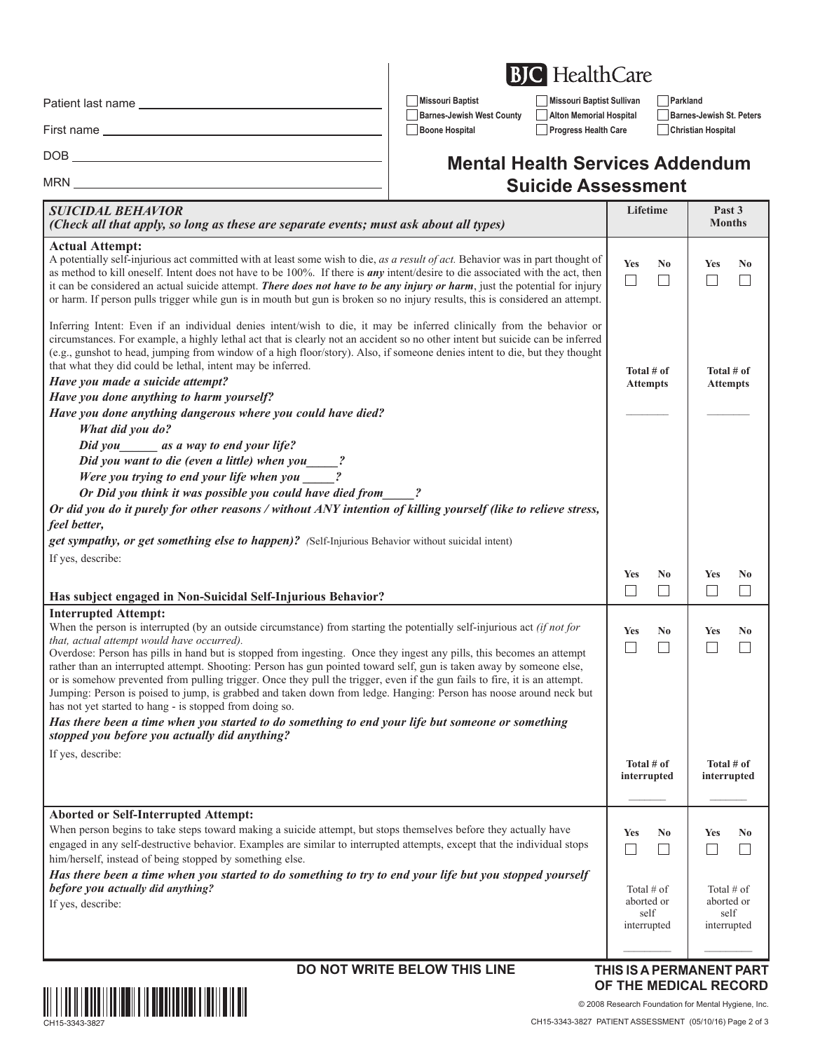|  | <b>BJC</b> HealthCare |
|--|-----------------------|
|--|-----------------------|

**Barnes-Jewish West County Alton Memorial Hospital Barnes-Jewish St. Peters Boone Hospital Progress Health Care Christian Hospital**

**Missouri Baptist Missouri Baptist Sullivan Parkland**

Patient last name

MRN

<u> 1989 - Johann Barn, mars ann an t-Amhain</u>

First name

DOB

### **Mental Health Services Addendum Suicide Assessment**

| <b>SUICIDAL BEHAVIOR</b><br>(Check all that apply, so long as these are separate events; must ask about all types)                                                                                                                                                                                                                                                                                                                                                                                                                                                                                                                                                                                                                                                                                                                                                                                                                              |                                                   | Past 3<br><b>Months</b>                           |  |
|-------------------------------------------------------------------------------------------------------------------------------------------------------------------------------------------------------------------------------------------------------------------------------------------------------------------------------------------------------------------------------------------------------------------------------------------------------------------------------------------------------------------------------------------------------------------------------------------------------------------------------------------------------------------------------------------------------------------------------------------------------------------------------------------------------------------------------------------------------------------------------------------------------------------------------------------------|---------------------------------------------------|---------------------------------------------------|--|
| <b>Actual Attempt:</b><br>A potentially self-injurious act committed with at least some wish to die, as a result of act. Behavior was in part thought of<br>as method to kill oneself. Intent does not have to be 100%. If there is <i>any</i> intent/desire to die associated with the act, then<br>it can be considered an actual suicide attempt. There does not have to be any injury or harm, just the potential for injury<br>or harm. If person pulls trigger while gun is in mouth but gun is broken so no injury results, this is considered an attempt.                                                                                                                                                                                                                                                                                                                                                                               | <b>Yes</b><br>N <sub>0</sub><br>$\Box$            | <b>Yes</b><br>N <sub>0</sub>                      |  |
| Inferring Intent: Even if an individual denies intent/wish to die, it may be inferred clinically from the behavior or<br>circumstances. For example, a highly lethal act that is clearly not an accident so no other intent but suicide can be inferred<br>(e.g., gunshot to head, jumping from window of a high floor/story). Also, if someone denies intent to die, but they thought<br>that what they did could be lethal, intent may be inferred.<br>Have you made a suicide attempt?<br>Have you done anything to harm yourself?<br>Have you done anything dangerous where you could have died?<br>What did you do?<br>Did you _______ as a way to end your life?<br>Did you want to die (even a little) when you ____?<br>Were you trying to end your life when you<br>Or Did you think it was possible you could have died from                                                                                                          | Total # of<br><b>Attempts</b>                     | Total # of<br><b>Attempts</b>                     |  |
| Or did you do it purely for other reasons / without ANY intention of killing yourself (like to relieve stress,                                                                                                                                                                                                                                                                                                                                                                                                                                                                                                                                                                                                                                                                                                                                                                                                                                  |                                                   |                                                   |  |
| feel better,                                                                                                                                                                                                                                                                                                                                                                                                                                                                                                                                                                                                                                                                                                                                                                                                                                                                                                                                    |                                                   |                                                   |  |
| get sympathy, or get something else to happen)? (Self-Injurious Behavior without suicidal intent)                                                                                                                                                                                                                                                                                                                                                                                                                                                                                                                                                                                                                                                                                                                                                                                                                                               |                                                   |                                                   |  |
| If yes, describe:                                                                                                                                                                                                                                                                                                                                                                                                                                                                                                                                                                                                                                                                                                                                                                                                                                                                                                                               |                                                   |                                                   |  |
|                                                                                                                                                                                                                                                                                                                                                                                                                                                                                                                                                                                                                                                                                                                                                                                                                                                                                                                                                 | <b>Yes</b><br>No                                  | <b>Yes</b><br>No                                  |  |
| Has subject engaged in Non-Suicidal Self-Injurious Behavior?                                                                                                                                                                                                                                                                                                                                                                                                                                                                                                                                                                                                                                                                                                                                                                                                                                                                                    | $\Box$<br>$\mathbf{L}$                            | $\Box$                                            |  |
| <b>Interrupted Attempt:</b><br>When the person is interrupted (by an outside circumstance) from starting the potentially self-injurious act (if not for<br>that, actual attempt would have occurred).<br>Overdose: Person has pills in hand but is stopped from ingesting. Once they ingest any pills, this becomes an attempt<br>rather than an interrupted attempt. Shooting: Person has gun pointed toward self, gun is taken away by someone else,<br>or is somehow prevented from pulling trigger. Once they pull the trigger, even if the gun fails to fire, it is an attempt.<br>Jumping: Person is poised to jump, is grabbed and taken down from ledge. Hanging: Person has noose around neck but<br>has not yet started to hang - is stopped from doing so.<br>Has there been a time when you started to do something to end your life but someone or something<br>stopped you before you actually did anything?<br>If yes, describe: | <b>Yes</b><br>No<br>$\Box$<br>×.                  | Yes<br>No<br>$\overline{\phantom{a}}$             |  |
|                                                                                                                                                                                                                                                                                                                                                                                                                                                                                                                                                                                                                                                                                                                                                                                                                                                                                                                                                 | Total $#$ of<br>interrupted                       | Total # of<br>interrupted                         |  |
| <b>Aborted or Self-Interrupted Attempt:</b>                                                                                                                                                                                                                                                                                                                                                                                                                                                                                                                                                                                                                                                                                                                                                                                                                                                                                                     |                                                   |                                                   |  |
| When person begins to take steps toward making a suicide attempt, but stops themselves before they actually have<br>engaged in any self-destructive behavior. Examples are similar to interrupted attempts, except that the individual stops<br>him/herself, instead of being stopped by something else.                                                                                                                                                                                                                                                                                                                                                                                                                                                                                                                                                                                                                                        | <b>Yes</b><br>No<br>$\Box$                        | <b>Yes</b><br>No                                  |  |
| Has there been a time when you started to do something to try to end your life but you stopped yourself<br>before you actually did anything?<br>If yes, describe:                                                                                                                                                                                                                                                                                                                                                                                                                                                                                                                                                                                                                                                                                                                                                                               | Total $#$ of<br>aborted or<br>self<br>interrupted | Total $#$ of<br>aborted or<br>self<br>interrupted |  |
|                                                                                                                                                                                                                                                                                                                                                                                                                                                                                                                                                                                                                                                                                                                                                                                                                                                                                                                                                 |                                                   |                                                   |  |

#### **DO NOT WRITE BELOW THIS LINE THIS IS A PERMANENT PART**

# **OF THE MEDICAL RECORD**